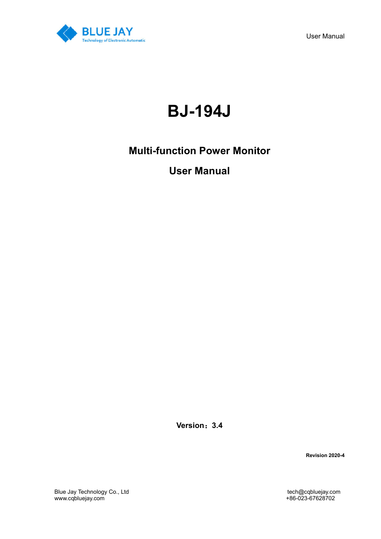

User Manual

# **BJ-194J**

## **Multi-function Power Monitor**

## **User Manual**

**Version**:**3.4**

**Revision 2020-4**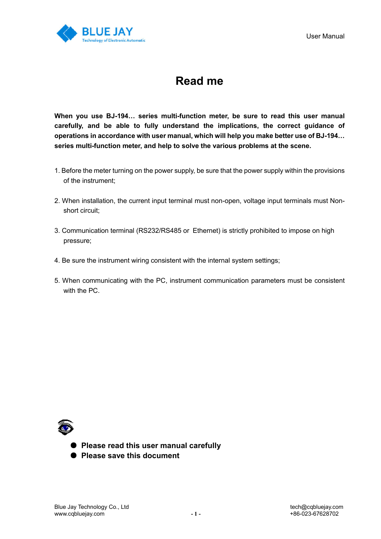

## **Read me**

**When you use BJ-194… series multi-function meter, be sure to read this user manual carefully, and be able to fully understand the implications, the correct guidance of operations in accordance with user manual, which will help you make better use of BJ-194… series multi-function meter, and help to solve the various problems at the scene.** 

- 1. Before the meter turning on the power supply, be sure that the power supply within the provisions of the instrument;
- 2. When installation, the current input terminal must non-open, voltage input terminals must Nonshort circuit;
- 3. Communication terminal (RS232/RS485 or Ethernet) is strictly prohibited to impose on high pressure;
- 4. Be sure the instrument wiring consistent with the internal system settings;
- 5. When communicating with the PC, instrument communication parameters must be consistent with the PC.



- **Please read this user manual carefully**
- **Please save this document**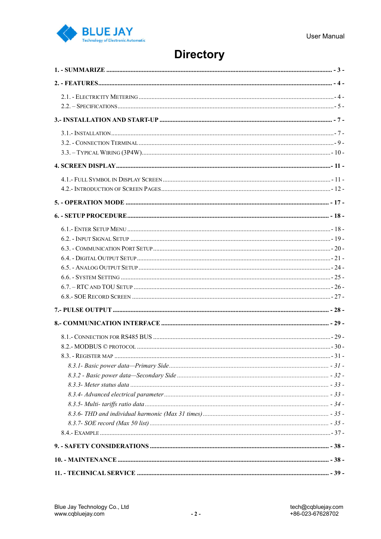

## **Directory**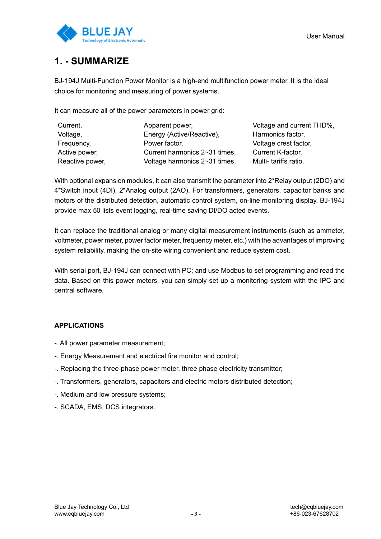

## **1. - SUMMARIZE**

BJ-194J Multi-Function Power Monitor is a high-end multifunction power meter. It is the ideal choice for monitoring and measuring of power systems.

It can measure all of the power parameters in power grid:

| Current,        | Apparent power,               | Voltage and current THD%, |
|-----------------|-------------------------------|---------------------------|
| Voltage,        | Energy (Active/Reactive),     | Harmonics factor,         |
| Frequency,      | Power factor,                 | Voltage crest factor,     |
| Active power,   | Current harmonics 2~31 times, | <b>Current K-factor,</b>  |
| Reactive power, | Voltage harmonics 2~31 times, | Multi- tariffs ratio.     |

With optional expansion modules, it can also transmit the parameter into 2\*Relay output (2DO) and 4\*Switch input (4DI), 2\*Analog output (2AO). For transformers, generators, capacitor banks and motors of the distributed detection, automatic control system, on-line monitoring display. BJ-194J provide max 50 lists event logging, real-time saving DI/DO acted events.

It can replace the traditional analog or many digital measurement instruments (such as ammeter, voltmeter, power meter, power factor meter, frequency meter, etc.) with the advantages of improving system reliability, making the on-site wiring convenient and reduce system cost.

With serial port, BJ-194J can connect with PC; and use Modbus to set programming and read the data. Based on this power meters, you can simply set up a monitoring system with the IPC and central software.

### **APPLICATIONS**

- -. All power parameter measurement;
- -. Energy Measurement and electrical fire monitor and control;
- -. Replacing the three-phase power meter, three phase electricity transmitter;
- -. Transformers, generators, capacitors and electric motors distributed detection;
- -. Medium and low pressure systems;
- -. SCADA, EMS, DCS integrators.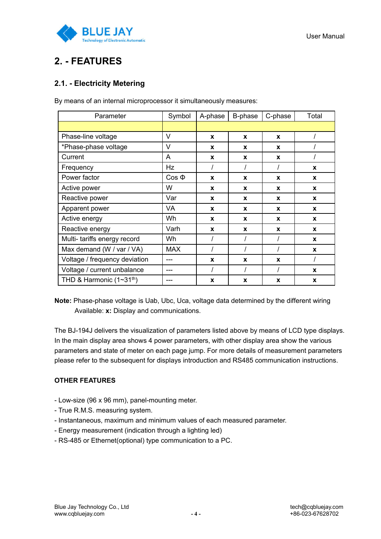

## **2. - FEATURES**

## **2.1. - Electricity Metering**

| Parameter                     | Symbol     | A-phase     | B-phase      | C-phase | Total    |
|-------------------------------|------------|-------------|--------------|---------|----------|
|                               |            |             |              |         |          |
| Phase-line voltage            | V          | X           | $\mathbf x$  | X       |          |
| *Phase-phase voltage          | V          | X           | X            | X       |          |
| Current                       | A          | $\mathbf x$ | X            | X       |          |
| Frequency                     | Hz         |             |              |         | X        |
| Power factor                  | $Cos \Phi$ | X           | $\mathbf{x}$ | X       | X        |
| Active power                  | W          | X           | X            | X       | X        |
| Reactive power                | Var        | X           | X            | X       | <b>X</b> |
| Apparent power                | <b>VA</b>  | X           | X            | X       | X        |
| Active energy                 | Wh.        | $\mathbf x$ | X            | X       | X        |
| Reactive energy               | Varh       | X           | X            | X       | X        |
| Multi- tariffs energy record  | Wh         |             |              |         | X        |
| Max demand (W / var / VA)     | <b>MAX</b> |             |              |         | X        |
| Voltage / frequency deviation | ---        | X           | X            | X       |          |
| Voltage / current unbalance   | ---        |             |              |         | X        |
| THD & Harmonic $(1~31th)$     | ---        | X           | X            | X       | X        |

By means of an internal microprocessor it simultaneously measures:

**Note:** Phase-phase voltage is Uab, Ubc, Uca, voltage data determined by the different wiring Available: **x:** Display and communications.

The BJ-194J delivers the visualization of parameters listed above by means of LCD type displays. In the main display area shows 4 power parameters, with other display area show the various parameters and state of meter on each page jump. For more details of measurement parameters please refer to the subsequent for displays introduction and RS485 communication instructions.

### **OTHER FEATURES**

- Low-size (96 x 96 mm), panel-mounting meter.
- True R.M.S. measuring system.
- Instantaneous, maximum and minimum values of each measured parameter.
- Energy measurement (indication through a lighting led)
- RS-485 or Ethernet(optional) type communication to a PC.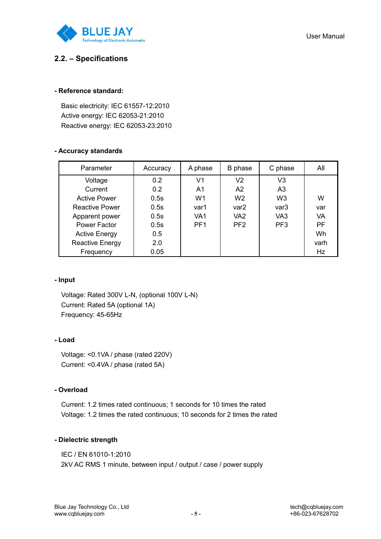

### **2.2. – Specifications**

### **- Reference standard:**

Basic electricity: IEC 61557-12:2010 Active energy: IEC 62053-21:2010 Reactive energy: IEC 62053-23:2010

#### **- Accuracy standards**

| Parameter             | Accuracy | A phase         | B phase          | C phase         | All  |
|-----------------------|----------|-----------------|------------------|-----------------|------|
| Voltage               | 0.2      | V <sub>1</sub>  | V <sub>2</sub>   | V <sub>3</sub>  |      |
| Current               | 0.2      | A1              | A <sub>2</sub>   | A <sub>3</sub>  |      |
| <b>Active Power</b>   | 0.5s     | W1              | W <sub>2</sub>   | W <sub>3</sub>  | W    |
| <b>Reactive Power</b> | 0.5s     | var1            | var <sub>2</sub> | var3            | var  |
| Apparent power        | 0.5s     | VA <sub>1</sub> | VA <sub>2</sub>  | VA <sub>3</sub> | VA   |
| Power Factor          | 0.5s     | PF <sub>1</sub> | PF <sub>2</sub>  | PF <sub>3</sub> | PF   |
| <b>Active Energy</b>  | 0.5      |                 |                  |                 | Wh   |
| Reactive Energy       | 2.0      |                 |                  |                 | varh |
| Frequency             | 0.05     |                 |                  |                 | Hz   |

#### **- Input**

Voltage: Rated 300V L-N, (optional 100V L-N) Current: Rated 5A (optional 1A) Frequency: 45-65Hz

#### **- Load**

Voltage: <0.1VA / phase (rated 220V) Current: <0.4VA / phase (rated 5A)

### **- Overload**

Current: 1.2 times rated continuous; 1 seconds for 10 times the rated Voltage: 1.2 times the rated continuous; 10 seconds for 2 times the rated

#### **- Dielectric strength**

IEC / EN 61010-1:2010 2kV AC RMS 1 minute, between input / output / case / power supply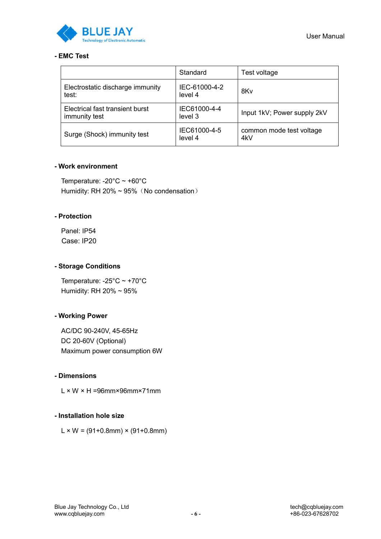

### **- EMC Test**

|                                                  | Standard                 | Test voltage                    |
|--------------------------------------------------|--------------------------|---------------------------------|
| Electrostatic discharge immunity<br>test:        | IEC-61000-4-2<br>level 4 | 8Kv                             |
| Electrical fast transient burst<br>immunity test | IEC61000-4-4<br>level 3  | Input 1kV; Power supply 2kV     |
| Surge (Shock) immunity test                      | IEC61000-4-5<br>level 4  | common mode test voltage<br>4kV |

### **- Work environment**

Temperature: -20°C ~ +60°C Humidity: RH 20% ~ 95% (No condensation)

### **- Protection**

Panel: IP54 Case: IP20

### **- Storage Conditions**

Temperature: -25°C ~ +70°C Humidity: RH 20% ~ 95%

### **- Working Power**

AC/DC 90-240V, 45-65Hz DC 20-60V (Optional) Maximum power consumption 6W

### **- Dimensions**

 $L \times W \times H = 96$ mm×96mm×71mm

### **- Installation hole size**

 $L \times W = (91+0.8$ mm $) \times (91+0.8$ mm $)$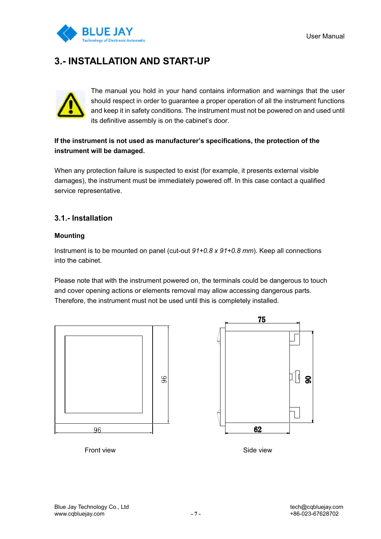

## **3.- INSTALLATION AND START-UP**



The manual you hold in your hand contains information and warnings that the user should respect in order to guarantee a proper operation of all the instrument functions and keep it in safety conditions. The instrument must not be powered on and used until its definitive assembly is on the cabinet's door.

### **If the instrument is not used as manufacturer's specifications, the protection of the instrument will be damaged.**

When any protection failure is suspected to exist (for example, it presents external visible damages), the instrument must be immediately powered off. In this case contact a qualified service representative.

### **3.1.- Installation**

### **Mounting**

Instrument is to be mounted on panel (cut-out *91+0.8 x 91+0.8 mm*). Keep all connections into the cabinet.

Please note that with the instrument powered on, the terminals could be dangerous to touch and cover opening actions or elements removal may allow accessing dangerous parts. Therefore, the instrument must not be used until this is completely installed.





Front view Side view Side view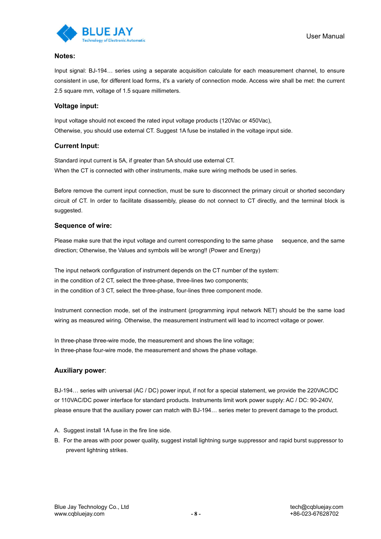

#### **Notes:**

Input signal: BJ-194… series using a separate acquisition calculate for each measurement channel, to ensure consistent in use, for different load forms, it's a variety of connection mode. Access wire shall be met: the current 2.5 square mm, voltage of 1.5 square millimeters.

#### **Voltage input:**

Input voltage should not exceed the rated input voltage products (120Vac or 450Vac), Otherwise, you should use external CT. Suggest 1A fuse be installed in the voltage input side.

#### **Current Input:**

Standard input current is 5A, if greater than 5A should use external CT. When the CT is connected with other instruments, make sure wiring methods be used in series.

Before remove the current input connection, must be sure to disconnect the primary circuit or shorted secondary circuit of CT. In order to facilitate disassembly, please do not connect to CT directly, and the terminal block is suggested.

#### **Sequence of wire:**

Please make sure that the input voltage and current corresponding to the same phase sequence, and the same direction; Otherwise, the Values and symbols will be wrong!! (Power and Energy)

The input network configuration of instrument depends on the CT number of the system: in the condition of 2 CT, select the three-phase, three-lines two components; in the condition of 3 CT, select the three-phase, four-lines three component mode.

Instrument connection mode, set of the instrument (programming input network NET) should be the same load wiring as measured wiring. Otherwise, the measurement instrument will lead to incorrect voltage or power.

In three-phase three-wire mode, the measurement and shows the line voltage; In three-phase four-wire mode, the measurement and shows the phase voltage.

#### **Auxiliary power**:

BJ-194… series with universal (AC / DC) power input, if not for a special statement, we provide the 220VAC/DC or 110VAC/DC power interface for standard products. Instruments limit work power supply: AC / DC: 90-240V, please ensure that the auxiliary power can match with BJ-194… series meter to prevent damage to the product.

- A. Suggest install 1A fuse in the fire line side.
- B. For the areas with poor power quality, suggest install lightning surge suppressor and rapid burst suppressor to prevent lightning strikes.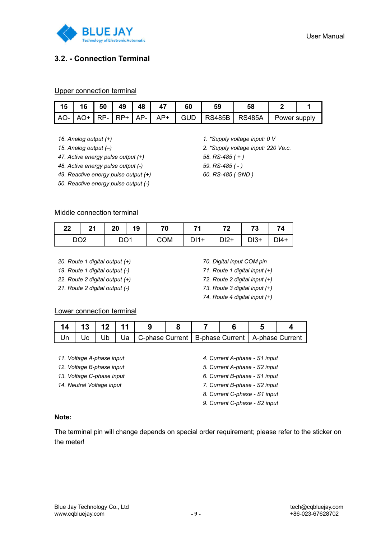

### **3.2. - Connection Terminal**

#### Upper connection terminal

|  |  | 15   16   50   49   48   47 | 60 | 59 |                                                                                                |  |
|--|--|-----------------------------|----|----|------------------------------------------------------------------------------------------------|--|
|  |  |                             |    |    | $ $ AO- $ $ AO+ $ $ RP- $ $ RP+ $ $ AP- $ $ AP+ $ $ GUD $ $ RS485B $ $ RS485A $ $ Power supply |  |

- *16. Analog output (+)*
- *15. Analog output (–)*
- *47. Active energy pulse output (+)*
- *48. Active energy pulse output (-)*
- *49. Reactive energy pulse output (+)*
- *50. Reactive energy pulse output (-)*

### *1. \*Supply voltage input: 0 V 2. \*Supply voltage input: 220 Va.c.*

- *58. RS-485 ( + )*
- *59. RS-485 ( - )*
- *60. RS-485 ( GND )*

#### Middle connection terminal

|                 | 22 21 20 19 |                 | 70                              | 71   72   73 | - 74 |
|-----------------|-------------|-----------------|---------------------------------|--------------|------|
| DO <sub>2</sub> |             | DO <sub>1</sub> | COM   DI1+   DI2+   DI3+   DI4+ |              |      |

- *20. Route 1 digital output (+)*
- *19. Route 1 digital output (-)*
- *22. Route 2 digital output (+)*
- *21. Route 2 digital output (-)*
- *70. Digital input COM pin*
- *71. Route 1 digital input (+)*
- *72. Route 2 digital input (+)*
- *73. Route 3 digital input (+)*
- *74. Route 4 digital input (+)*

#### Lower connection terminal

| 14   13   12   11   9 |  |                                                                            |  |  |  |  |
|-----------------------|--|----------------------------------------------------------------------------|--|--|--|--|
|                       |  | │ Un │ Uc │ Ub │ Ua │C-phase Current │ B-phase Current │ A-phase Current │ |  |  |  |  |

- *11. Voltage A-phase input*
- *12. Voltage B-phase input*
- *13. Voltage C-phase input*
- *14. Neutral Voltage input*
- *4. Current A-phase - S1 input*
- *5. Current A-phase - S2 input*
- *6. Current B-phase - S1 input*
- *7. Current B-phase - S2 input*
- *8. Current C-phase - S1 input*
- *9. Current C-phase - S2 input*

#### **Note:**

The terminal pin will change depends on special order requirement; please refer to the sticker on the meter!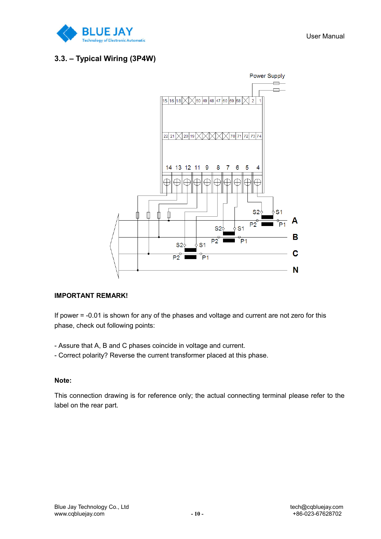

### **3.3. – Typical Wiring (3P4W)**



### **IMPORTANT REMARK!**

If power = -0.01 is shown for any of the phases and voltage and current are not zero for this phase, check out following points:

- Assure that A, B and C phases coincide in voltage and current.
- Correct polarity? Reverse the current transformer placed at this phase.

### **Note:**

This connection drawing is for reference only; the actual connecting terminal please refer to the label on the rear part.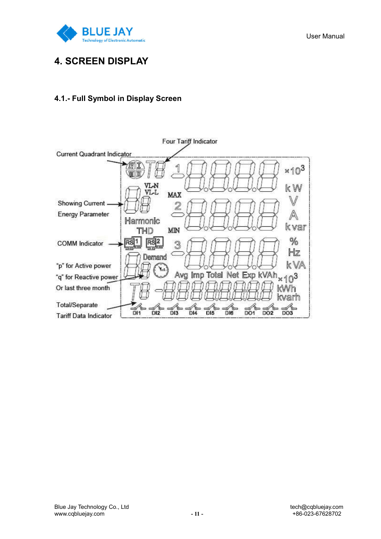

## **4. SCREEN DISPLAY**

### **4.1.- Full Symbol in Display Screen**

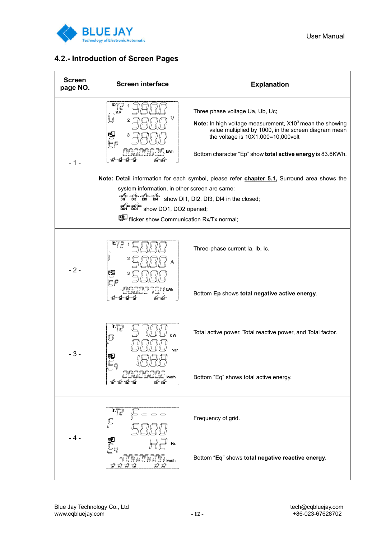

### **4.2.- Introduction of Screen Pages**

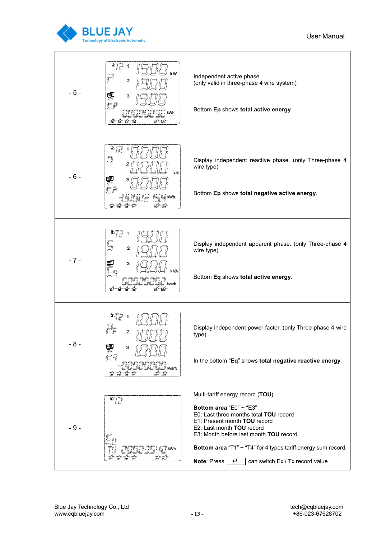

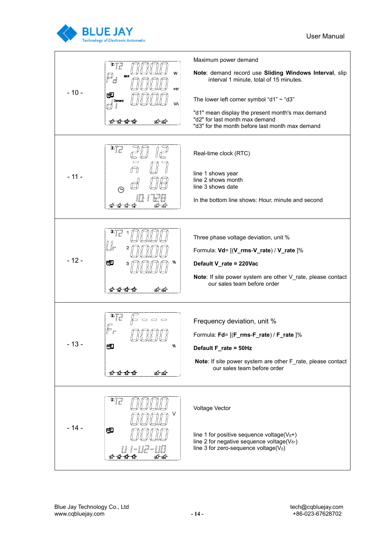

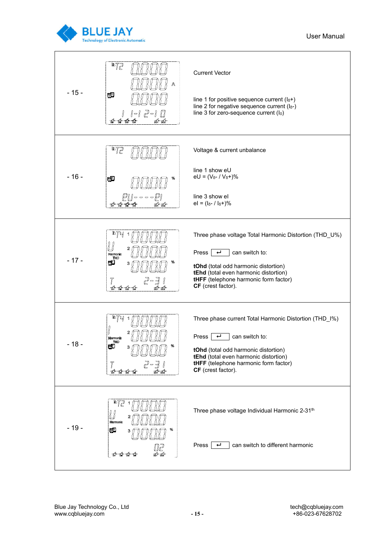

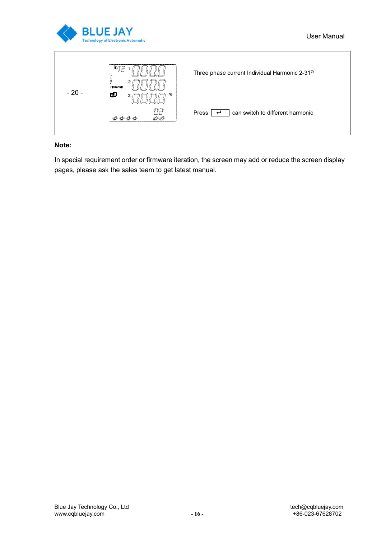

| $-20-$ | D7<br>525<br>lť<br>Harmonic<br>團<br>%<br>з | Three phase current Individual Harmonic 2-31 <sup>th</sup> |
|--------|--------------------------------------------|------------------------------------------------------------|
|        | นัย<br>DO1                                 | can switch to different harmonic<br>Press                  |

### **Note:**

In special requirement order or firmware iteration, the screen may add or reduce the screen display pages, please ask the sales team to get latest manual.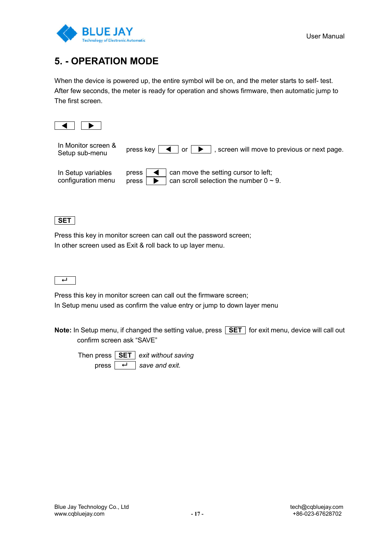

## **5. - OPERATION MODE**

When the device is powered up, the entire symbol will be on, and the meter starts to self- test. After few seconds, the meter is ready for operation and shows firmware, then automatic jump to The first screen.



| In Monitor screen &                      | press key $\vert \blacktriangleleft \vert$ or $\vert \blacktriangleright \vert$                          |
|------------------------------------------|----------------------------------------------------------------------------------------------------------|
| Setup sub-menu                           | , screen will move to previous or next page.                                                             |
| In Setup variables<br>configuration menu | can move the setting cursor to left;<br>press  <br>can scroll selection the number $0 \sim 9$ .<br>press |

**SET**

Press this key in monitor screen can call out the password screen; In other screen used as Exit & roll back to up layer menu.



Press this key in monitor screen can call out the firmware screen; In Setup menu used as confirm the value entry or jump to down layer menu

**Note:** In Setup menu, if changed the setting value, press **SET** for exit menu, device will call out confirm screen ask "SAVE"

Then press **SET** *exit without saving* press  $\overline{+ \ \ }$  save and exit.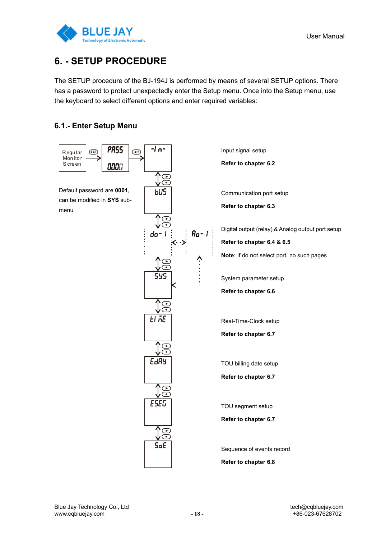

## **6. - SETUP PROCEDURE**

The SETUP procedure of the BJ-194J is performed by means of several SETUP options. There has a password to protect unexpectedly enter the Setup menu. Once into the Setup menu, use the keyboard to select different options and enter required variables:

## **6.1.- Enter Setup Menu**

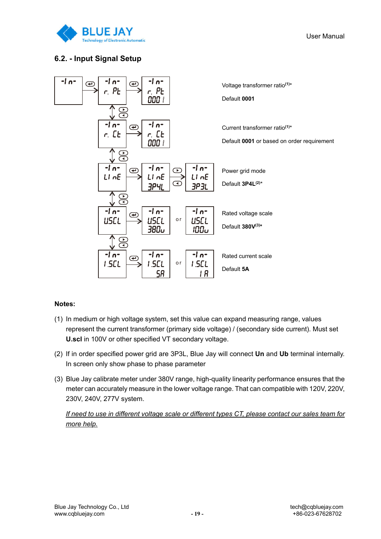

User Manual

### **6.2. - Input Signal Setup**



### **Notes:**

- (1) In medium or high voltage system, set this value can expand measuring range, values represent the current transformer (primary side voltage) / (secondary side current). Must set **U.scl** in 100V or other specified VT secondary voltage.
- (2) If in order specified power grid are 3P3L, Blue Jay will connect **Un** and **Ub** terminal internally. In screen only show phase to phase parameter
- (3) Blue Jay calibrate meter under 380V range, high-quality linearity performance ensures that the meter can accurately measure in the lower voltage range. That can compatible with 120V, 220V, 230V, 240V, 277V system.

*If need to use in different voltage scale or different types CT, please contact our sales team for more help.*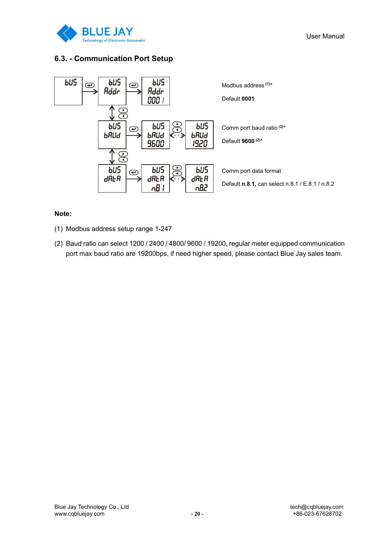

### **6.3. - Communication Port Setup**



### **Note:**

- (1) Modbus address setup range 1-247
- (2) Baud ratio can select 1200 / 2400 / 4800/ 9600 / 19200, regular meter equipped communication port max baud ratio are 19200bps, if need higher speed, please contact Blue Jay sales team.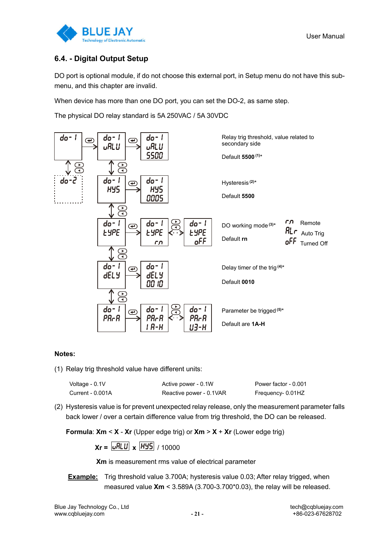

User Manual

### **6.4. - Digital Output Setup**

DO port is optional module, if do not choose this external port, in Setup menu do not have this submenu, and this chapter are invalid.

When device has more than one DO port, you can set the DO-2, as same step.

The physical DO relay standard is 5A 250VAC / 5A 30VDC



#### **Notes:**

(1) Relay trig threshold value have different units:

| Voltage - 0.1V   | Active power - 0.1W     | Power factor - 0.001 |
|------------------|-------------------------|----------------------|
| Current - 0.001A | Reactive power - 0.1VAR | Frequency- 0.01HZ    |

(2) Hysteresis value is for prevent unexpected relay release, only the measurement parameter falls back lower / over a certain difference value from trig threshold, the DO can be released.

**Formula**: **Xm** < **X** - **Xr** (Upper edge trig) or **Xm** > **X** + **Xr** (Lower edge trig)

$$
Xr = \boxed{\cup RLU} \times \boxed{HYS} / 10000
$$

**Xm** is measurement rms value of electrical parameter

**Example:** Trig threshold value 3.700A; hysteresis value 0.03; After relay trigged, when measured value **Xm** < 3.589A (3.700-3.700\*0.03), the relay will be released.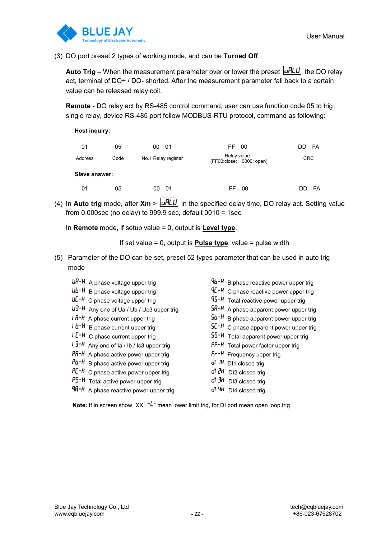

(3) DO port preset 2 types of working mode, and can be **Turned Off**

Auto Trig – When the measurement parameter over or lower the preset **untupled the DO** relay act, terminal of DO+ / DO- shorted. After the measurement parameter fall back to a certain value can be released relay coil.

**Remote** - DO relay act by RS-485 control command, user can use function code 05 to trig single relay, device RS-485 port follow MODBUS-RTU protocol, command as following:

| <b>Host inquiry:</b> |  |
|----------------------|--|
|                      |  |

| 01            | 05   | 00<br>- 01          | FF.<br>00                               | FA<br>DD   |
|---------------|------|---------------------|-----------------------------------------|------------|
| Address       | Code | No.1 Relay register | Relay value<br>(FF00:close; 0000: open) | <b>CRC</b> |
| Slave answer: |      |                     |                                         |            |
| 01            | 05   | - 01<br>00          | 00<br>FF                                | FA<br>DD   |

(4) In **Auto trig** mode, after  $Xm > uRLU$  in the specified delay time, DO relay act. Setting value from  $0.000$ sec (no delay) to 999.9 sec, default  $0010 = 1$ sec

In **Remote** mode, if setup value = 0, output is **Level type**,

If set value = 0, output is **Pulse type**, value = pulse width

(5) Parameter of the DO can be set, preset 52 types parameter that can be used in auto trig mode

| $\sf U \sf R\text{-} \sf H$ A phase voltage upper trig              | $9b - H$ B phase reactive power upper trig         |
|---------------------------------------------------------------------|----------------------------------------------------|
| <b>Ub</b> + <b>H</b> B phase voltage upper trig                     | $9E - H$ C phase reactive power upper trig         |
| $\sf U\sf C$ + $\sf H\;$ C phase voltage upper trig                 | 95-H Total reactive power upper trig               |
| <b>U3-H</b> Any one of Ua / Ub / Uc3 upper trig                     | 5R-H A phase apparent power upper trig             |
| <b>I R-H</b> A phase current upper trig                             | 5b <sup>-H</sup> B phase apparent power upper trig |
| <b>b-H</b> B phase current upper trig                               | $5L - H$ C phase apparent power upper trig         |
| $IC-H$ C phase current upper trig                                   | 55-H Total apparent power upper trig               |
| <b>i ∃-H</b> Any one of Ia / Ib / Ic3 upper trig                    | PF-H Total power factor upper trig                 |
| PR-H A phase active power upper trig                                | Fr-H Frequency upper trig                          |
| <b>Pb<sup>-H</sup></b> B phase active power upper trig              | di IH DI1 closed trig                              |
| $\mathsf{P}\mathsf{L}\mathsf{-H}\,$ C phase active power upper trig | $d\bar{d}$ $dH$ DI2 closed trig                    |
| <b>P5-H</b> Total active power upper trig                           | $d$ $3H$ DI3 closed trig                           |
| <b>9R-H</b> A phase reactive power upper trig                       | di 4H DI4 closed trig                              |

**Note:** If in screen show "XX  $\cdot$ <sup>L</sup>" mean lower limit trig, for DI port mean open loop trig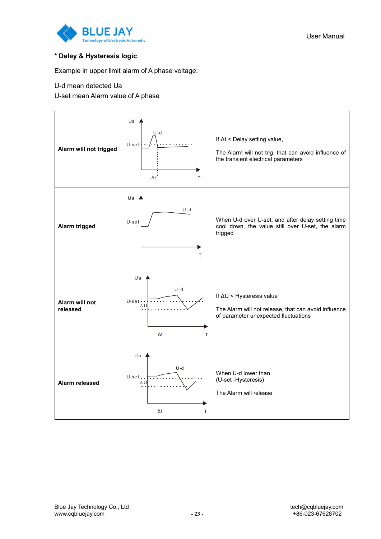

### **\* Delay & Hysteresis logic**

Example in upper limit alarm of A phase voltage:

#### U-d mean detected Ua

U-set mean Alarm value of A phase

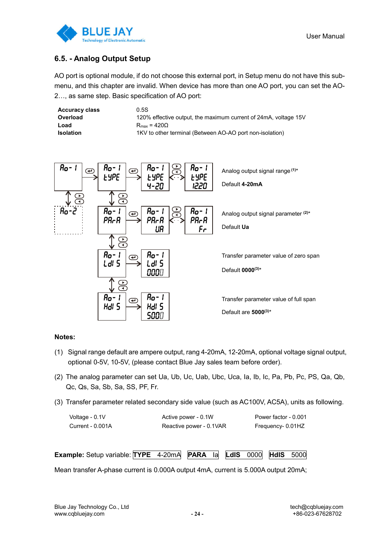

### **6.5. - Analog Output Setup**

AO port is optional module, if do not choose this external port, in Setup menu do not have this submenu, and this chapter are invalid. When device has more than one AO port, you can set the AO-2…, as same step. Basic specification of AO port:

| <b>Accuracy class</b> | 0.5S                                                            |
|-----------------------|-----------------------------------------------------------------|
| Overload              | 120% effective output, the maximum current of 24mA, voltage 15V |
| Load                  | $R_{\text{max}} = 420\Omega$                                    |
| <b>Isolation</b>      | 1KV to other terminal (Between AO-AO port non-isolation)        |



#### **Notes:**

- (1) Signal range default are ampere output, rang 4-20mA, 12-20mA, optional voltage signal output, optional 0-5V, 10-5V, (please contact Blue Jay sales team before order).
- (2) The analog parameter can set Ua, Ub, Uc, Uab, Ubc, Uca, Ia, Ib, Ic, Pa, Pb, Pc, PS, Qa, Qb, Qc, Qs, Sa, Sb, Sa, SS, PF, Fr.
- (3) Transfer parameter related secondary side value (such as AC100V, AC5A), units as following.

| Voltage - 0.1V   | Active power - 0.1W     | Power factor - 0.001 |
|------------------|-------------------------|----------------------|
| Current - 0.001A | Reactive power - 0.1VAR | Frequency- 0.01HZ    |

**Example:** Setup variable: **TYPE** 4-20mA **PARA** Ia **LdIS** 0000 **HdIS** 5000

Mean transfer A-phase current is 0.000A output 4mA, current is 5.000A output 20mA;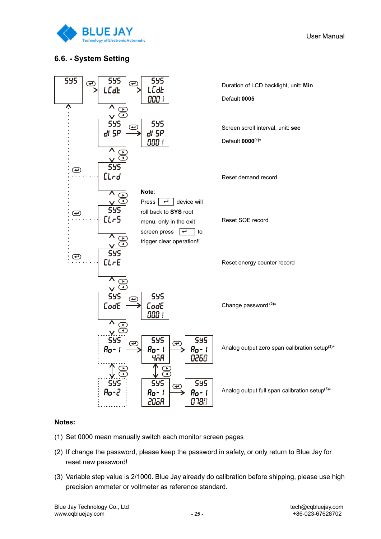

User Manual

### **6.6. - System Setting**



### **Notes:**

- (1) Set 0000 mean manually switch each monitor screen pages
- (2) If change the password, please keep the password in safety, or only return to Blue Jay for reset new password!
- (3) Variable step value is 2/1000. Blue Jay already do calibration before shipping, please use high precision ammeter or voltmeter as reference standard.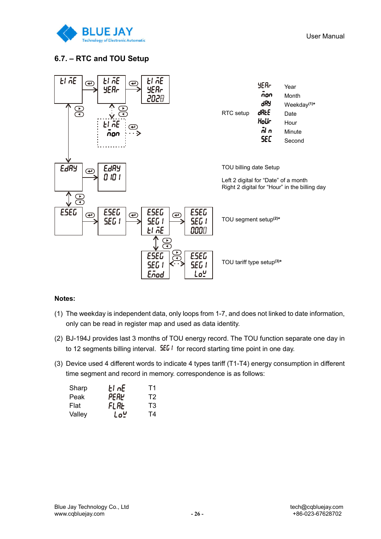

## **6.7. – RTC and TOU Setup**



#### **Notes:**

- (1) The weekday is independent data, only loops from 1-7, and does not linked to date information, only can be read in register map and used as data identity.
- (2) BJ-194J provides last 3 months of TOU energy record. The TOU function separate one day in to 12 segments billing interval.  $5E_0$  for record starting time point in one day.
- (3) Device used 4 different words to indicate 4 types tariff (T1-T4) energy consumption in different time segment and record in memory. correspondence is as follows:

| Sharp  | El nE | Т1 |
|--------|-------|----|
| Peak   | PERY  | T2 |
| Flat   | FLAL  | T3 |
| Valley | Lo‼   | T4 |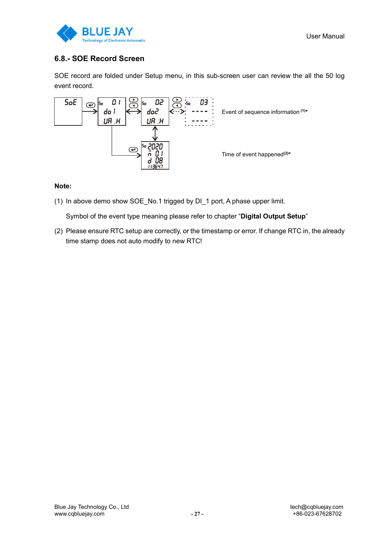



## **6.8.- SOE Record Screen**

SOE record are folded under Setup menu, in this sub-screen user can review the all the 50 log event record.



### **Note:**

(1) In above demo show SOE\_No.1 trigged by DI\_1 port, A phase upper limit.

Symbol of the event type meaning please refer to chapter "**Digital Output Setup**"

(2) Please ensure RTC setup are correctly, or the timestamp or error. If change RTC in, the already time stamp does not auto modify to new RTC!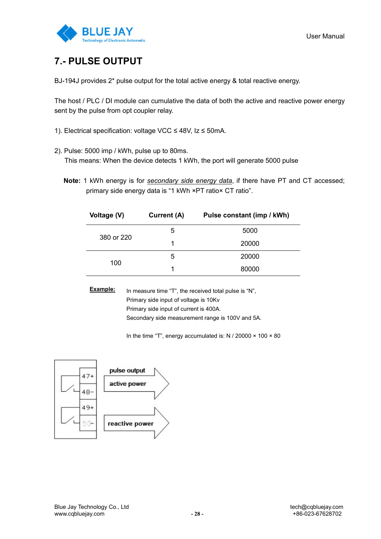

## **7.- PULSE OUTPUT**

BJ-194J provides 2\* pulse output for the total active energy & total reactive energy.

The host / PLC / DI module can cumulative the data of both the active and reactive power energy sent by the pulse from opt coupler relay.

- 1). Electrical specification: voltage VCC ≤ 48V, Iz ≤ 50mA.
- 2). Pulse: 5000 imp / kWh, pulse up to 80ms.

This means: When the device detects 1 kWh, the port will generate 5000 pulse

**Note:** 1 kWh energy is for *secondary side energy data*, if there have PT and CT accessed; primary side energy data is "1 kWh ×PT ratio× CT ratio".

| Voltage (V) | Current (A) | Pulse constant (imp / kWh) |
|-------------|-------------|----------------------------|
|             | 5           | 5000                       |
| 380 or 220  | 1           | 20000                      |
|             | 5           | 20000                      |
| 100         |             | 80000                      |

**Example:** In measure time "T", the received total pulse is "N", Primary side input of voltage is 10Kv Primary side input of current is 400A. Secondary side measurement range is 100V and 5A.

In the time "T", energy accumulated is: N / 20000  $\times$  100  $\times$  80

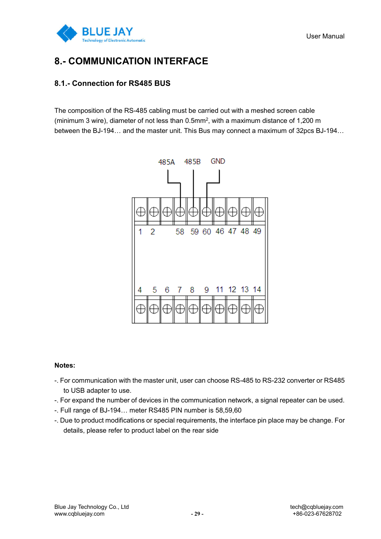

## **8.- COMMUNICATION INTERFACE**

### **8.1.- Connection for RS485 BUS**

The composition of the RS-485 cabling must be carried out with a meshed screen cable (minimum 3 wire), diameter of not less than 0.5mm2, with a maximum distance of 1,200 m between the BJ-194… and the master unit. This Bus may connect a maximum of 32pcs BJ-194…



#### **Notes:**

- -. For communication with the master unit, user can choose RS-485 to RS-232 converter or RS485 to USB adapter to use.
- -. For expand the number of devices in the communication network, a signal repeater can be used.
- -. Full range of BJ-194… meter RS485 PIN number is 58,59,60
- -. Due to product modifications or special requirements, the interface pin place may be change. For details, please refer to product label on the rear side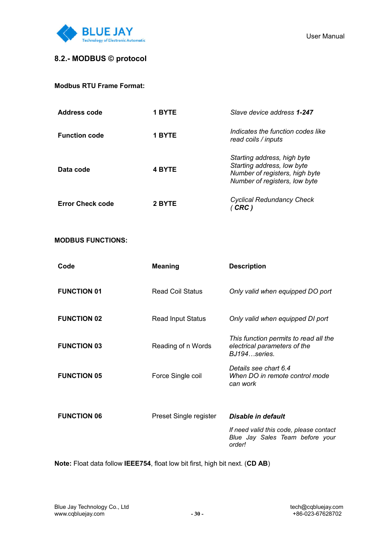

### **8.2.- MODBUS © protocol**

| Address code            | 1 BYTE        | Slave device address 1-247                                                                                                   |
|-------------------------|---------------|------------------------------------------------------------------------------------------------------------------------------|
| <b>Function code</b>    | 1 BYTE        | Indicates the function codes like<br>read coils / inputs                                                                     |
| Data code               | <b>4 BYTE</b> | Starting address, high byte<br>Starting address, low byte<br>Number of registers, high byte<br>Number of registers, low byte |
| <b>Error Check code</b> | 2 BYTE        | <b>Cyclical Redundancy Check</b><br>CRC                                                                                      |

### **MODBUS FUNCTIONS:**

| Code               | <b>Meaning</b>           | <b>Description</b>                                                                    |
|--------------------|--------------------------|---------------------------------------------------------------------------------------|
| <b>FUNCTION 01</b> | <b>Read Coil Status</b>  | Only valid when equipped DO port                                                      |
| <b>FUNCTION 02</b> | <b>Read Input Status</b> | Only valid when equipped DI port                                                      |
| <b>FUNCTION 03</b> | Reading of n Words       | This function permits to read all the<br>electrical parameters of the<br>BJ194series. |
| <b>FUNCTION 05</b> | Force Single coil        | Details see chart 6.4<br>When DO in remote control mode<br>can work                   |
|                    |                          |                                                                                       |
| <b>FUNCTION 06</b> | Preset Single register   | Disable in default                                                                    |
|                    |                          | If need valid this code, please contact<br>Blue Jay Sales Team before your<br>order!  |

**Note:** Float data follow **IEEE754**, float low bit first, high bit next. (**CD AB**)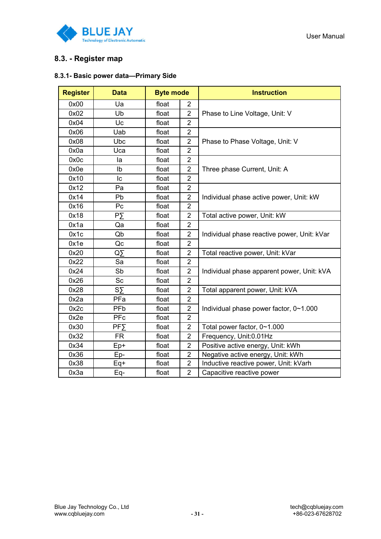

### **8.3. - Register map**

### **8.3.1- Basic power data—Primary Side**

| <b>Register</b> | <b>Data</b>              | <b>Byte mode</b> |                | <b>Instruction</b>                          |
|-----------------|--------------------------|------------------|----------------|---------------------------------------------|
| 0x00            | Ua                       | float            | $\overline{2}$ |                                             |
| 0x02            | Ub                       | float            | $\overline{2}$ | Phase to Line Voltage, Unit: V              |
| 0x04            | Uc                       | float            | $\overline{2}$ |                                             |
| 0x06            | Uab                      | float            | $\overline{2}$ |                                             |
| 0x08            | Ubc                      | float            | $\overline{2}$ | Phase to Phase Voltage, Unit: V             |
| 0x0a            | Uca                      | float            | $\overline{2}$ |                                             |
| 0x0c            | la                       | float            | $\overline{2}$ |                                             |
| 0x0e            | Ib                       | float            | $\overline{2}$ | Three phase Current, Unit: A                |
| 0x10            | lс                       | float            | $\overline{2}$ |                                             |
| 0x12            | Pa                       | float            | $\overline{2}$ |                                             |
| 0x14            | Pb                       | float            | $\overline{2}$ | Individual phase active power, Unit: kW     |
| 0x16            | Pc                       | float            | $\overline{2}$ |                                             |
| 0x18            | PΣ                       | float            | $\overline{2}$ | Total active power, Unit: kW                |
| 0x1a            | Qa                       | float            | $\overline{2}$ |                                             |
| 0x1c            | Qb                       | float            | $\overline{2}$ | Individual phase reactive power, Unit: kVar |
| 0x1e            | Qc                       | float            | $\overline{2}$ |                                             |
| 0x20            | ØΣ                       | float            | $\overline{2}$ | Total reactive power, Unit: kVar            |
| 0x22            | Sa                       | float            | $\overline{2}$ |                                             |
| 0x24            | Sb                       | float            | 2              | Individual phase apparent power, Unit: kVA  |
| 0x26            | Sc                       | float            | $\overline{2}$ |                                             |
| 0x28            | $S\bar{Y}$               | float            | $\overline{2}$ | Total apparent power, Unit: kVA             |
| 0x2a            | PFa                      | float            | $\overline{2}$ |                                             |
| 0x2c            | <b>PFb</b>               | float            | $\overline{2}$ | Individual phase power factor, 0~1.000      |
| 0x2e            | PFc                      | float            | $\overline{2}$ |                                             |
| 0x30            | <b>PF<sub>&gt;</sub></b> | float            | $\overline{2}$ | Total power factor, 0~1.000                 |
| 0x32            | <b>FR</b>                | float            | $\overline{2}$ | Frequency, Unit:0.01Hz                      |
| 0x34            | Ep+                      | float            | $\overline{2}$ | Positive active energy, Unit: kWh           |
| 0x36            | Ep-                      | float            | $\overline{2}$ | Negative active energy, Unit: kWh           |
| 0x38            | Eq+                      | float            | $\overline{2}$ | Inductive reactive power, Unit: kVarh       |
| 0x3a            | Eq-                      | float            | $\overline{2}$ | Capacitive reactive power                   |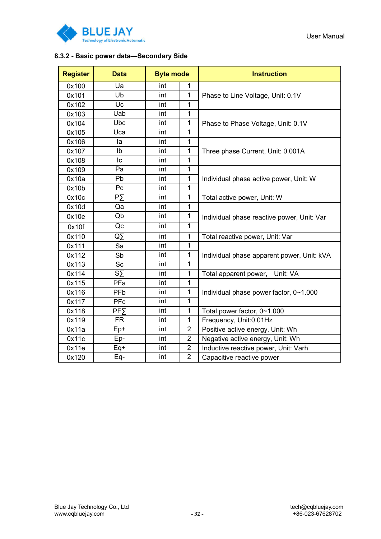

#### User Manual

### **8.3.2 - Basic power data—Secondary Side**

| <b>Register</b> | <b>Data</b>              | <b>Byte mode</b> |                | <b>Instruction</b>                         |
|-----------------|--------------------------|------------------|----------------|--------------------------------------------|
| 0x100           | Ua                       | int              | 1              |                                            |
| 0x101           | Ub                       | int              | 1              | Phase to Line Voltage, Unit: 0.1V          |
| 0x102           | Uc                       | int              | $\mathbf{1}$   |                                            |
| 0x103           | Uab                      | int              | $\mathbf{1}$   |                                            |
| 0x104           | Ubc                      | int              | 1              | Phase to Phase Voltage, Unit: 0.1V         |
| 0x105           | Uca                      | int              | $\mathbf{1}$   |                                            |
| 0x106           | la                       | int              | $\mathbf{1}$   |                                            |
| 0x107           | Ib                       | int              | 1              | Three phase Current, Unit: 0.001A          |
| 0x108           | Iс                       | int              | $\mathbf{1}$   |                                            |
| 0x109           | Pa                       | int              | $\overline{1}$ |                                            |
| 0x10a           | Pb                       | int              | 1              | Individual phase active power, Unit: W     |
| 0x10b           | Pc                       | int              | $\overline{1}$ |                                            |
| 0x10c           | PΣ                       | int              | 1              | Total active power, Unit: W                |
| 0x10d           | Qa                       | int              | $\mathbf{1}$   |                                            |
| 0x10e           | Qb                       | int              | $\mathbf{1}$   | Individual phase reactive power, Unit: Var |
| 0x10f           | Qc                       | int              | $\mathbf{1}$   |                                            |
| 0x110           | $\overline{Q}$           | int              | $\mathbf 1$    | Total reactive power, Unit: Var            |
| 0x111           | Sa                       | int              | 1              |                                            |
| 0x112           | Sb                       | int              | $\mathbf{1}$   | Individual phase apparent power, Unit: kVA |
| 0x113           | Sc                       | int              | $\mathbf{1}$   |                                            |
| 0x114           | $S_{\Sigma}$             | int              | 1              | Unit: VA<br>Total apparent power,          |
| 0x115           | PFa                      | int              | $\mathbf{1}$   |                                            |
| 0x116           | <b>PFb</b>               | int              | 1              | Individual phase power factor, 0~1.000     |
| 0x117           | PFc                      | int              | 1              |                                            |
| 0x118           | <b>PF<sub>&gt;</sub></b> | int              | $\mathbf{1}$   | Total power factor, 0~1.000                |
| 0x119           | <b>FR</b>                | int              | $\mathbf{1}$   | Frequency, Unit:0.01Hz                     |
| 0x11a           | Ep+                      | int              | $\overline{2}$ | Positive active energy, Unit: Wh           |
| 0x11c           | Ep-                      | int              | $\overline{2}$ | Negative active energy, Unit: Wh           |
| 0x11e           | Eq+                      | int              | $\overline{2}$ | Inductive reactive power, Unit: Varh       |
| 0x120           | Eq-                      | int              | $\overline{2}$ | Capacitive reactive power                  |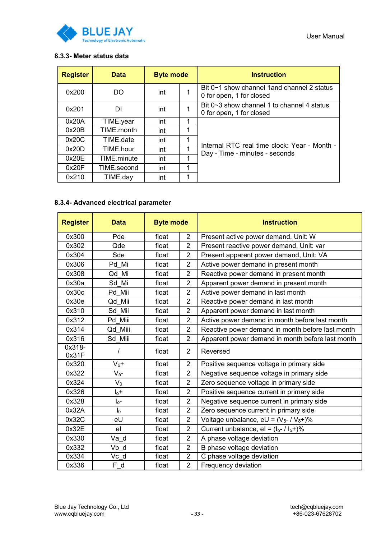

### **8.3.3- Meter status data**

| <b>Register</b> | <b>Data</b> | <b>Byte mode</b> |   | <b>Instruction</b>                                                             |
|-----------------|-------------|------------------|---|--------------------------------------------------------------------------------|
| 0x200           | DO          | int              |   | Bit 0~1 show channel 1 and channel 2 status<br>0 for open, 1 for closed        |
| 0x201           | DI          | int              |   | Bit $0 \sim 3$ show channel 1 to channel 4 status<br>0 for open, 1 for closed  |
| 0x20A           | TIME.year   | int              | 1 |                                                                                |
| 0x20B           | TIME.month  | int              | 1 |                                                                                |
| 0x20C           | TIME date   | int              | 1 |                                                                                |
| 0x20D           | TIME.hour   | int              |   | Internal RTC real time clock: Year - Month -<br>Day - Time - minutes - seconds |
| 0x20E           | TIME.minute | int              | 1 |                                                                                |
| 0x20F           | TIME.second | int              | 1 |                                                                                |
| 0x210           | TIME.day    | int              | 1 |                                                                                |

### **8.3.4- Advanced electrical parameter**

| <b>Register</b> | <b>Data</b>    | <b>Byte mode</b> |                | <b>Instruction</b>                                         |
|-----------------|----------------|------------------|----------------|------------------------------------------------------------|
| 0x300           | Pde            | float            | $\overline{2}$ | Present active power demand, Unit: W                       |
| 0x302           | Qde            | float            | $\overline{2}$ | Present reactive power demand, Unit: var                   |
| 0x304           | Sde            | float            | $\overline{2}$ | Present apparent power demand, Unit: VA                    |
| 0x306           | Pd Mi          | float            | $\overline{2}$ | Active power demand in present month                       |
| 0x308           | Qd Mi          | float            | $\overline{2}$ | Reactive power demand in present month                     |
| 0x30a           | Sd Mi          | float            | $\overline{2}$ | Apparent power demand in present month                     |
| 0x30c           | Pd Mii         | float            | $\overline{2}$ | Active power demand in last month                          |
| 0x30e           | Qd Mii         | float            | $\overline{2}$ | Reactive power demand in last month                        |
| 0x310           | Sd Mii         | float            | $\overline{2}$ | Apparent power demand in last month                        |
| 0x312           | Pd Miii        | float            | $\overline{2}$ | Active power demand in month before last month             |
| 0x314           | Qd Miii        | float            | $\overline{2}$ | Reactive power demand in month before last month           |
| 0x316           | Sd_Miii        | float            | $\overline{2}$ | Apparent power demand in month before last month           |
| 0x318-<br>0x31F |                | float            | $\overline{2}$ | Reversed                                                   |
| 0x320           | $V_{\delta}+$  | float            | $\overline{2}$ | Positive sequence voltage in primary side                  |
| 0x322           | $V_{\delta^-}$ | float            | $\overline{2}$ | Negative sequence voltage in primary side                  |
| 0x324           | $V_0$          | float            | $\overline{2}$ | Zero sequence voltage in primary side                      |
| 0x326           | $I_{\delta}+$  | float            | $\overline{2}$ | Positive sequence current in primary side                  |
| 0x328           | $I_{\delta^-}$ | float            | $\overline{2}$ | Negative sequence current in primary side                  |
| 0x32A           | I <sub>0</sub> | float            | $\overline{2}$ | Zero sequence current in primary side                      |
| 0x32C           | eU             | float            | $\overline{2}$ | Voltage unbalance, eU = $(V_{\delta}$ - / $V_{\delta}$ +)% |
| 0x32E           | e <sub>l</sub> | float            | $\overline{2}$ | Current unbalance, el = $(I_{\delta^-}/I_{\delta^+})\%$    |
| 0x330           | Va d           | float            | $\overline{2}$ | A phase voltage deviation                                  |
| 0x332           | Vb d           | float            | $\overline{2}$ | B phase voltage deviation                                  |
| 0x334           | Vc d           | float            | $\overline{2}$ | C phase voltage deviation                                  |
| 0x336           | F d            | float            | $\overline{2}$ | Frequency deviation                                        |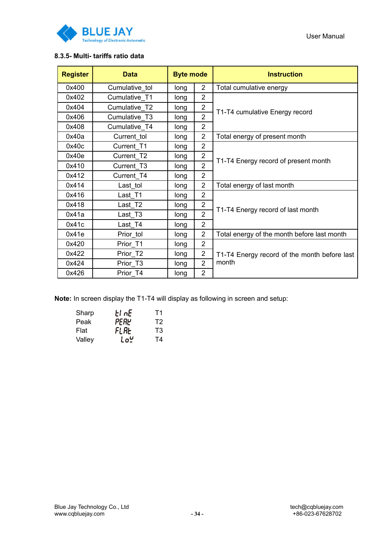

### **8.3.5- Multi- tariffs ratio data**

| <b>Register</b> | <b>Data</b>    | <b>Byte mode</b> |                | <b>Instruction</b>                           |  |  |
|-----------------|----------------|------------------|----------------|----------------------------------------------|--|--|
| 0x400           | Cumulative tol | long             | $\overline{2}$ | Total cumulative energy                      |  |  |
| 0x402           | Cumulative T1  | long             | $\overline{2}$ |                                              |  |  |
| 0x404           | Cumulative T2  | long             | $\overline{2}$ | T1-T4 cumulative Energy record               |  |  |
| 0x406           | Cumulative T3  | long             | $\overline{2}$ |                                              |  |  |
| 0x408           | Cumulative T4  | long             | $\overline{2}$ |                                              |  |  |
| 0x40a           | Current tol    | long             | $\overline{2}$ | Total energy of present month                |  |  |
| 0x40c           | Current T1     | long             | $\overline{2}$ |                                              |  |  |
| 0x40e           | Current T2     | long             | $\overline{2}$ | T1-T4 Energy record of present month         |  |  |
| 0x410           | Current T3     | long             | $\overline{2}$ |                                              |  |  |
| 0x412           | Current T4     | long             | $\overline{2}$ |                                              |  |  |
| 0x414           | Last tol       | long             | $\overline{2}$ | Total energy of last month                   |  |  |
| 0x416           | Last T1        | long             | $\overline{2}$ |                                              |  |  |
| 0x418           | Last T2        | long             | $\overline{2}$ | T1-T4 Energy record of last month            |  |  |
| 0x41a           | Last T3        | long             | $\overline{2}$ |                                              |  |  |
| 0x41c           | Last T4        | long             | $\overline{2}$ |                                              |  |  |
| 0x41e           | Prior tol      | long             | $\overline{2}$ | Total energy of the month before last month  |  |  |
| 0x420           | Prior T1       | long             | $\overline{2}$ |                                              |  |  |
| 0x422           | Prior_T2       | long             | $\overline{2}$ | T1-T4 Energy record of the month before last |  |  |
| 0x424           | Prior T3       | long             | $\overline{2}$ | month                                        |  |  |
| 0x426           | Prior T4       | long             | $\overline{2}$ |                                              |  |  |

**Note:** In screen display the T1-T4 will display as following in screen and setup:

| Sharp  | El nE | Τ1 |
|--------|-------|----|
| Peak   | PERY  | T2 |
| Flat   | FLAL  | T3 |
| Valley | LoĽ   | Τ4 |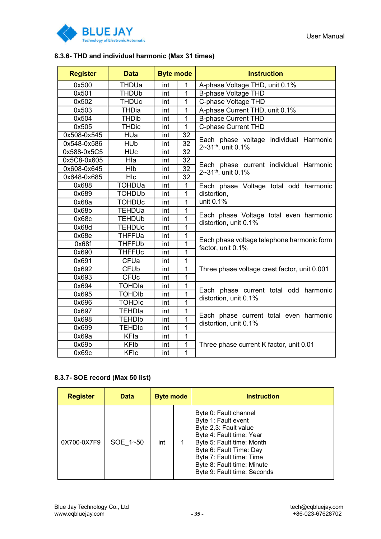

### **8.3.6- THD and individual harmonic (Max 31 times)**

| <b>Register</b> | <b>Data</b>             | <b>Byte mode</b> |                 | <b>Instruction</b>                                                       |  |  |
|-----------------|-------------------------|------------------|-----------------|--------------------------------------------------------------------------|--|--|
| 0x500           | THDUa                   | int              | 1               | A-phase Voltage THD, unit 0.1%                                           |  |  |
| 0x501           | <b>THDUb</b>            | int              | 1               | <b>B-phase Voltage THD</b>                                               |  |  |
| 0x502           | <b>THDUc</b>            | int              | 1               | C-phase Voltage THD                                                      |  |  |
| 0x503           | <b>THDia</b>            | int              | 1               | A-phase Current THD, unit 0.1%                                           |  |  |
| 0x504           | <b>THDib</b>            | int              | $\mathbf{1}$    | <b>B-phase Current THD</b>                                               |  |  |
| 0x505           | <b>THDic</b>            | int              | $\mathbf{1}$    | C-phase Current THD                                                      |  |  |
| 0x508-0x545     | HUa                     | int              | 32              |                                                                          |  |  |
| 0x548-0x586     | <b>HUb</b>              | int              | $\overline{32}$ | Each phase voltage individual Harmonic<br>2~31 <sup>th</sup> , unit 0.1% |  |  |
| 0x588-0x5C5     | <b>HUc</b>              | int              | 32              |                                                                          |  |  |
| 0x5C8-0x605     | Hla                     | int              | 32              |                                                                          |  |  |
| 0x608-0x645     | HIb                     | int              | $\overline{32}$ | Each phase current individual Harmonic<br>2~31 <sup>th</sup> , unit 0.1% |  |  |
| 0x648-0x685     | HIc                     | int              | 32              |                                                                          |  |  |
| 0x688           | <b>TOHDUa</b>           | int              | $\mathbf 1$     | Each phase Voltage total odd harmonic                                    |  |  |
| 0x689           | <b>TOHDUb</b>           | int              | $\mathbf{1}$    | distortion,                                                              |  |  |
| 0x68a           | <b>TOHDUc</b>           | int              | 1               | unit 0.1%                                                                |  |  |
| 0x68b           | TEHDUa                  | int              | $\overline{1}$  |                                                                          |  |  |
| 0x68c           | <b>TEHDUb</b>           | int              | 1               | Each phase Voltage total even harmonic<br>distortion, unit 0.1%          |  |  |
| 0x68d           | <b>TEHDUc</b>           | int              | 1               |                                                                          |  |  |
| 0x68e           | <b>THFFUa</b>           | int              | 1               |                                                                          |  |  |
| 0x68f           | <b>THFFUb</b>           | int              | 1               | Each phase voltage telephone harmonic form<br>factor, unit 0.1%          |  |  |
| 0x690           | <b>THFFUc</b>           | int              | 1               |                                                                          |  |  |
| 0x691           | <b>CFUa</b>             | int              | 1               |                                                                          |  |  |
| 0x692           | <b>CFUb</b>             | int              | 1               | Three phase voltage crest factor, unit 0.001                             |  |  |
| 0x693           | <b>CFUc</b>             | int              | $\overline{1}$  |                                                                          |  |  |
| 0x694           | <b>TOHDIa</b>           | int              | 1               |                                                                          |  |  |
| 0x695           | <b>TOHDIb</b>           | int              | 1               | Each phase current total odd harmonic<br>distortion, unit 0.1%           |  |  |
| 0x696           | <b>TOHDIC</b>           | int              | $\overline{1}$  |                                                                          |  |  |
| 0x697           | <b>TEHDIa</b>           | int              | $\mathbf{1}$    | Each phase current total even harmonic                                   |  |  |
| 0x698           | <b>TEHDIb</b>           | int              | 1               | distortion, unit 0.1%                                                    |  |  |
| 0x699           | <b>TEHDIC</b>           | int              | 1               |                                                                          |  |  |
| 0x69a           | <b>KFla</b>             | int              | $\overline{1}$  |                                                                          |  |  |
| 0x69b           | <b>KFIb</b><br>1<br>int |                  |                 | Three phase current K factor, unit 0.01                                  |  |  |
| 0x69c           | <b>KFIc</b>             | int              | 1               |                                                                          |  |  |

### **8.3.7- SOE record (Max 50 list)**

| <b>Register</b> | <b>Data</b> | <b>Byte mode</b> |  | <b>Instruction</b>                                                                                                                                                                                                                                 |
|-----------------|-------------|------------------|--|----------------------------------------------------------------------------------------------------------------------------------------------------------------------------------------------------------------------------------------------------|
| 0X700-0X7F9     | SOE 1~50    | int              |  | Byte 0: Fault channel<br>Byte 1: Fault event<br>Byte 2,3: Fault value<br>Byte 4: Fault time: Year<br>Byte 5: Fault time: Month<br>Byte 6: Fault Time: Day<br>Byte 7: Fault time: Time<br>Byte 8: Fault time: Minute<br>Byte 9: Fault time: Seconds |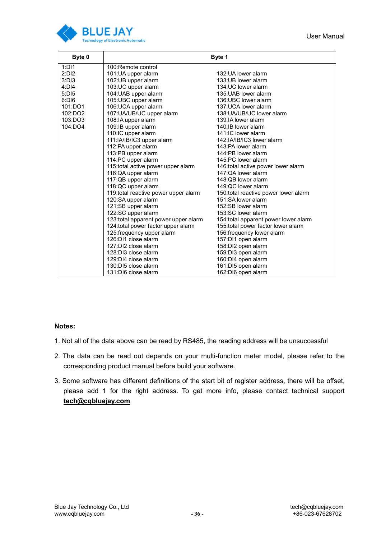

| Byte 0  | Byte 1                                |                                       |  |  |  |  |
|---------|---------------------------------------|---------------------------------------|--|--|--|--|
| 1:DI1   | 100:Remote control                    |                                       |  |  |  |  |
| 2:DI2   | 101:UA upper alarm                    | 132:UA lower alarm                    |  |  |  |  |
| 3:DI3   | 102:UB upper alarm                    | 133:UB lower alarm                    |  |  |  |  |
| 4:DI4   | 103:UC upper alarm                    | 134:UC lower alarm                    |  |  |  |  |
| 5:DI5   | 104: UAB upper alarm                  | 135: UAB lower alarm                  |  |  |  |  |
| 6:DI6   | 105:UBC upper alarm                   | 136:UBC lower alarm                   |  |  |  |  |
| 101:DO1 | 106: UCA upper alarm                  | 137: UCA lower alarm                  |  |  |  |  |
| 102:DO2 | 107:UA/UB/UC upper alarm              | 138: UA/UB/UC lower alarm             |  |  |  |  |
| 103:DO3 | 108:IA upper alarm                    | 139:IA lower alarm                    |  |  |  |  |
| 104:DO4 | 109:IB upper alarm                    | 140:IB lower alarm                    |  |  |  |  |
|         | 110:IC upper alarm                    | 141:IC lower alarm                    |  |  |  |  |
|         | 111:IA/IB/IC3 upper alarm             | 142:IA/IB/IC3 lower alarm             |  |  |  |  |
|         | 112:PA upper alarm                    | 143:PA lower alarm                    |  |  |  |  |
|         | 113:PB upper alarm                    | 144:PB lower alarm                    |  |  |  |  |
|         | 114:PC upper alarm                    | 145:PC lower alarm                    |  |  |  |  |
|         | 115: total active power upper alarm   | 146: total active power lower alarm   |  |  |  |  |
|         | 116:QA upper alarm                    | 147:OA lower alarm                    |  |  |  |  |
|         | 117:QB upper alarm                    | 148:QB lower alarm                    |  |  |  |  |
|         | 118:QC upper alarm                    | 149:QC lower alarm                    |  |  |  |  |
|         | 119: total reactive power upper alarm | 150: total reactive power lower alarm |  |  |  |  |
|         | 120:SA upper alarm                    | 151:SA lower alarm                    |  |  |  |  |
|         | 121:SB upper alarm                    | 152:SB lower alarm                    |  |  |  |  |
|         | 122:SC upper alarm                    | 153:SC lower alarm                    |  |  |  |  |
|         | 123: total apparent power upper alarm | 154: total apparent power lower alarm |  |  |  |  |
|         | 124: total power factor upper alarm   | 155: total power factor lower alarm   |  |  |  |  |
|         | 125: frequency upper alarm            | 156: frequency lower alarm            |  |  |  |  |
|         | 126:DI1 close alarm                   | 157:DI1 open alarm                    |  |  |  |  |
|         | 127:DI2 close alarm                   | 158:DI2 open alarm                    |  |  |  |  |
|         | 128:DI3 close alarm                   | 159:DI3 open alarm                    |  |  |  |  |
|         | 129:DI4 close alarm                   | 160:DI4 open alarm                    |  |  |  |  |
|         | 130:DI5 close alarm                   | 161:DI5 open alarm                    |  |  |  |  |
|         | 131:DI6 close alarm                   | 162:DI6 open alarm                    |  |  |  |  |

### **Notes:**

- 1. Not all of the data above can be read by RS485, the reading address will be unsuccessful
- 2. The data can be read out depends on your multi-function meter model, please refer to the corresponding product manual before build your software.
- 3. Some software has different definitions of the start bit of register address, there will be offset, please add 1 for the right address. To get more info, please contact technical support **tech@cqbluejay.com**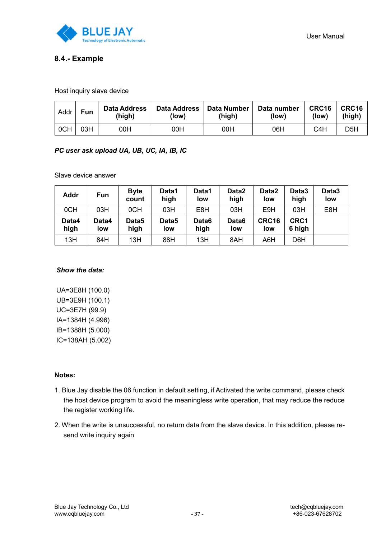

### **8.4.- Example**

Host inquiry slave device

| Addr | <b>Fun</b> | Data Address<br>(high) | <b>Data Address</b><br>(low) | Data Number<br>(high) | Data number<br>(low) | CRC16<br>(low) | CRC16<br>(high) |
|------|------------|------------------------|------------------------------|-----------------------|----------------------|----------------|-----------------|
| 0CH  | 03H        | 00H                    | 00H                          | 00H                   | 06H                  | C4H            | D5H             |

### *PC user ask upload UA, UB, UC, IA, IB, IC*

Slave device answer

| <b>Addr</b>   | Fun          | <b>Byte</b><br>count | Data1<br>high | Data1<br>low  | Data2<br>high            | Data2<br>low | Data3<br>high    | Data3<br>low |
|---------------|--------------|----------------------|---------------|---------------|--------------------------|--------------|------------------|--------------|
| 0CH           | 03H          | 0CH                  | 03H           | E8H           | 03H                      | E9H          | 03H              | E8H          |
| Data4<br>high | Data4<br>low | Data5<br>high        | Data5<br>low  | Data6<br>high | Data <sub>6</sub><br>low | CRC16<br>low | CRC1<br>6 high   |              |
| 13H           | 84H          | 13H                  | 88H           | 13H           | 8AH                      | A6H          | D <sub>6</sub> H |              |

#### *Show the data:*

UA=3E8H (100.0) UB=3E9H (100.1) UC=3E7H (99.9) IA=1384H (4.996) IB=1388H (5.000) IC=138AH (5.002)

### **Notes:**

- 1. Blue Jay disable the 06 function in default setting, if Activated the write command, please check the host device program to avoid the meaningless write operation, that may reduce the reduce the register working life.
- 2. When the write is unsuccessful, no return data from the slave device. In this addition, please resend write inquiry again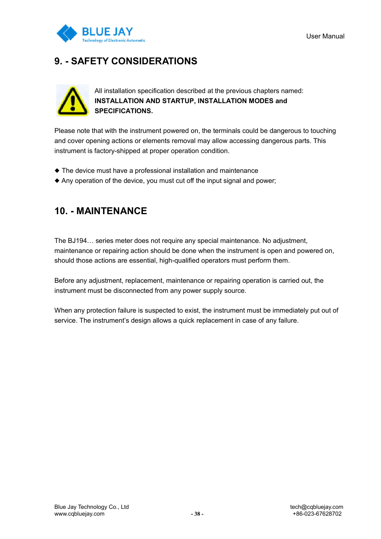

## **9. - SAFETY CONSIDERATIONS**



All installation specification described at the previous chapters named: **INSTALLATION AND STARTUP, INSTALLATION MODES and SPECIFICATIONS.**

Please note that with the instrument powered on, the terminals could be dangerous to touching and cover opening actions or elements removal may allow accessing dangerous parts. This instrument is factory-shipped at proper operation condition.

- ◆ The device must have a professional installation and maintenance
- ◆ Any operation of the device, you must cut off the input signal and power;

## **10. - MAINTENANCE**

The BJ194… series meter does not require any special maintenance. No adjustment, maintenance or repairing action should be done when the instrument is open and powered on, should those actions are essential, high-qualified operators must perform them.

Before any adjustment, replacement, maintenance or repairing operation is carried out, the instrument must be disconnected from any power supply source.

When any protection failure is suspected to exist, the instrument must be immediately put out of service. The instrument's design allows a quick replacement in case of any failure.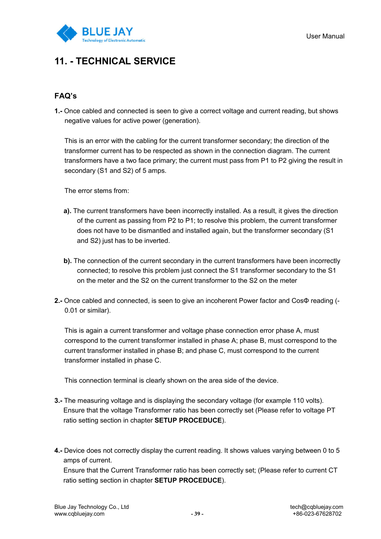

## **11. - TECHNICAL SERVICE**

## **FAQ's**

**1.-** Once cabled and connected is seen to give a correct voltage and current reading, but shows negative values for active power (generation).

This is an error with the cabling for the current transformer secondary; the direction of the transformer current has to be respected as shown in the connection diagram. The current transformers have a two face primary; the current must pass from P1 to P2 giving the result in secondary (S1 and S2) of 5 amps.

The error stems from:

- **a).** The current transformers have been incorrectly installed. As a result, it gives the direction of the current as passing from P2 to P1; to resolve this problem, the current transformer does not have to be dismantled and installed again, but the transformer secondary (S1 and S2) just has to be inverted.
- **b).** The connection of the current secondary in the current transformers have been incorrectly connected; to resolve this problem just connect the S1 transformer secondary to the S1 on the meter and the S2 on the current transformer to the S2 on the meter
- **2.-** Once cabled and connected, is seen to give an incoherent Power factor and CosΦ reading (- 0.01 or similar).

This is again a current transformer and voltage phase connection error phase A, must correspond to the current transformer installed in phase A; phase B, must correspond to the current transformer installed in phase B; and phase C, must correspond to the current transformer installed in phase C.

This connection terminal is clearly shown on the area side of the device.

- **3.-** The measuring voltage and is displaying the secondary voltage (for example 110 volts). Ensure that the voltage Transformer ratio has been correctly set (Please refer to voltage PT ratio setting section in chapter **SETUP PROCEDUCE**).
- **4.-** Device does not correctly display the current reading. It shows values varying between 0 to 5 amps of current.

Ensure that the Current Transformer ratio has been correctly set; (Please refer to current CT ratio setting section in chapter **SETUP PROCEDUCE**).